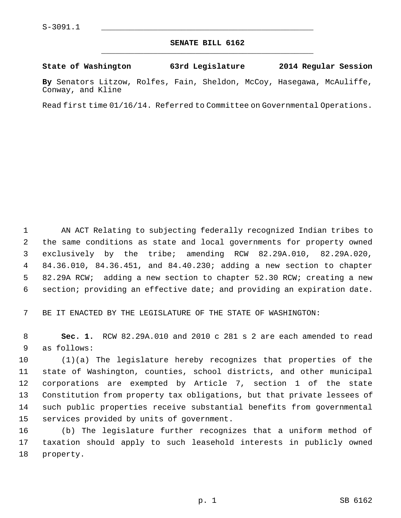## **SENATE BILL 6162** \_\_\_\_\_\_\_\_\_\_\_\_\_\_\_\_\_\_\_\_\_\_\_\_\_\_\_\_\_\_\_\_\_\_\_\_\_\_\_\_\_\_\_\_\_

## **State of Washington 63rd Legislature 2014 Regular Session**

**By** Senators Litzow, Rolfes, Fain, Sheldon, McCoy, Hasegawa, McAuliffe, Conway, and Kline

Read first time 01/16/14. Referred to Committee on Governmental Operations.

 1 AN ACT Relating to subjecting federally recognized Indian tribes to 2 the same conditions as state and local governments for property owned 3 exclusively by the tribe; amending RCW 82.29A.010, 82.29A.020, 4 84.36.010, 84.36.451, and 84.40.230; adding a new section to chapter 5 82.29A RCW; adding a new section to chapter 52.30 RCW; creating a new 6 section; providing an effective date; and providing an expiration date.

7 BE IT ENACTED BY THE LEGISLATURE OF THE STATE OF WASHINGTON:

 8 **Sec. 1.** RCW 82.29A.010 and 2010 c 281 s 2 are each amended to read 9 as follows:

10 (1)(a) The legislature hereby recognizes that properties of the 11 state of Washington, counties, school districts, and other municipal 12 corporations are exempted by Article 7, section 1 of the state 13 Constitution from property tax obligations, but that private lessees of 14 such public properties receive substantial benefits from governmental 15 services provided by units of government.

16 (b) The legislature further recognizes that a uniform method of 17 taxation should apply to such leasehold interests in publicly owned 18 property.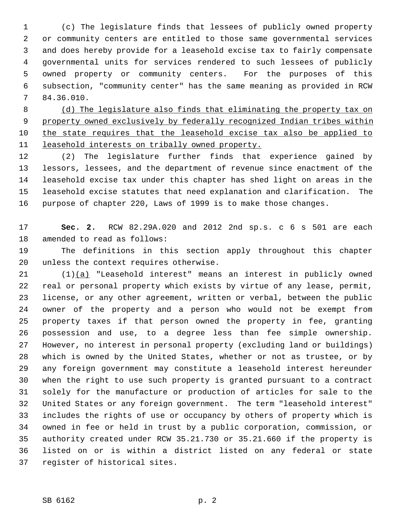1 (c) The legislature finds that lessees of publicly owned property 2 or community centers are entitled to those same governmental services 3 and does hereby provide for a leasehold excise tax to fairly compensate 4 governmental units for services rendered to such lessees of publicly 5 owned property or community centers. For the purposes of this 6 subsection, "community center" has the same meaning as provided in RCW 7 84.36.010.

 (d) The legislature also finds that eliminating the property tax on property owned exclusively by federally recognized Indian tribes within the state requires that the leasehold excise tax also be applied to leasehold interests on tribally owned property.

12 (2) The legislature further finds that experience gained by 13 lessors, lessees, and the department of revenue since enactment of the 14 leasehold excise tax under this chapter has shed light on areas in the 15 leasehold excise statutes that need explanation and clarification. The 16 purpose of chapter 220, Laws of 1999 is to make those changes.

17 **Sec. 2.** RCW 82.29A.020 and 2012 2nd sp.s. c 6 s 501 are each 18 amended to read as follows:

19 The definitions in this section apply throughout this chapter 20 unless the context requires otherwise.

21 (1)(a) "Leasehold interest" means an interest in publicly owned 22 real or personal property which exists by virtue of any lease, permit, 23 license, or any other agreement, written or verbal, between the public 24 owner of the property and a person who would not be exempt from 25 property taxes if that person owned the property in fee, granting 26 possession and use, to a degree less than fee simple ownership. 27 However, no interest in personal property (excluding land or buildings) 28 which is owned by the United States, whether or not as trustee, or by 29 any foreign government may constitute a leasehold interest hereunder 30 when the right to use such property is granted pursuant to a contract 31 solely for the manufacture or production of articles for sale to the 32 United States or any foreign government. The term "leasehold interest" 33 includes the rights of use or occupancy by others of property which is 34 owned in fee or held in trust by a public corporation, commission, or 35 authority created under RCW 35.21.730 or 35.21.660 if the property is 36 listed on or is within a district listed on any federal or state 37 register of historical sites.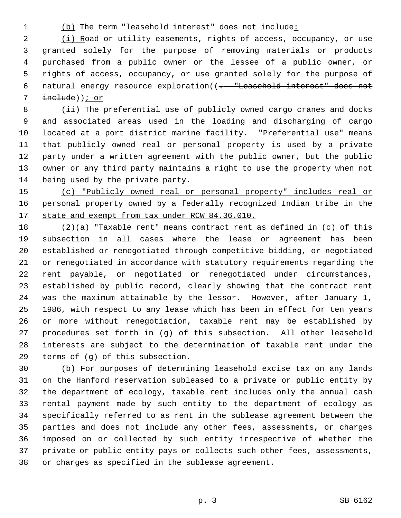1 (b) The term "leasehold interest" does not include:

 2 (i) Road or utility easements, rights of access, occupancy, or use 3 granted solely for the purpose of removing materials or products 4 purchased from a public owner or the lessee of a public owner, or 5 rights of access, occupancy, or use granted solely for the purpose of 6 natural energy resource exploration((. "Leasehold interest" does not 7 include)); or

 8 (ii) The preferential use of publicly owned cargo cranes and docks 9 and associated areas used in the loading and discharging of cargo 10 located at a port district marine facility. "Preferential use" means 11 that publicly owned real or personal property is used by a private 12 party under a written agreement with the public owner, but the public 13 owner or any third party maintains a right to use the property when not 14 being used by the private party.

15 (c) "Publicly owned real or personal property" includes real or 16 personal property owned by a federally recognized Indian tribe in the 17 state and exempt from tax under RCW 84.36.010.

18 (2)(a) "Taxable rent" means contract rent as defined in (c) of this 19 subsection in all cases where the lease or agreement has been 20 established or renegotiated through competitive bidding, or negotiated 21 or renegotiated in accordance with statutory requirements regarding the 22 rent payable, or negotiated or renegotiated under circumstances, 23 established by public record, clearly showing that the contract rent 24 was the maximum attainable by the lessor. However, after January 1, 25 1986, with respect to any lease which has been in effect for ten years 26 or more without renegotiation, taxable rent may be established by 27 procedures set forth in (g) of this subsection. All other leasehold 28 interests are subject to the determination of taxable rent under the 29 terms of (g) of this subsection.

30 (b) For purposes of determining leasehold excise tax on any lands 31 on the Hanford reservation subleased to a private or public entity by 32 the department of ecology, taxable rent includes only the annual cash 33 rental payment made by such entity to the department of ecology as 34 specifically referred to as rent in the sublease agreement between the 35 parties and does not include any other fees, assessments, or charges 36 imposed on or collected by such entity irrespective of whether the 37 private or public entity pays or collects such other fees, assessments, 38 or charges as specified in the sublease agreement.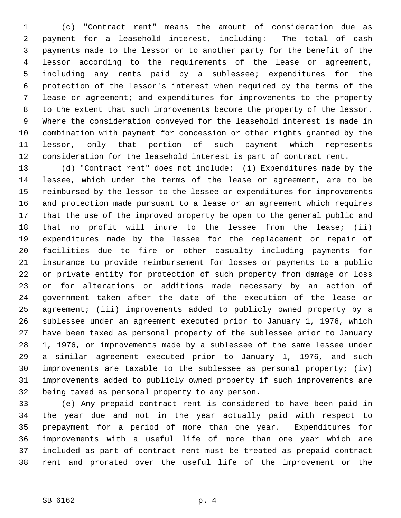1 (c) "Contract rent" means the amount of consideration due as 2 payment for a leasehold interest, including: The total of cash 3 payments made to the lessor or to another party for the benefit of the 4 lessor according to the requirements of the lease or agreement, 5 including any rents paid by a sublessee; expenditures for the 6 protection of the lessor's interest when required by the terms of the 7 lease or agreement; and expenditures for improvements to the property 8 to the extent that such improvements become the property of the lessor. 9 Where the consideration conveyed for the leasehold interest is made in 10 combination with payment for concession or other rights granted by the 11 lessor, only that portion of such payment which represents 12 consideration for the leasehold interest is part of contract rent.

13 (d) "Contract rent" does not include: (i) Expenditures made by the 14 lessee, which under the terms of the lease or agreement, are to be 15 reimbursed by the lessor to the lessee or expenditures for improvements 16 and protection made pursuant to a lease or an agreement which requires 17 that the use of the improved property be open to the general public and 18 that no profit will inure to the lessee from the lease; (ii) 19 expenditures made by the lessee for the replacement or repair of 20 facilities due to fire or other casualty including payments for 21 insurance to provide reimbursement for losses or payments to a public 22 or private entity for protection of such property from damage or loss 23 or for alterations or additions made necessary by an action of 24 government taken after the date of the execution of the lease or 25 agreement; (iii) improvements added to publicly owned property by a 26 sublessee under an agreement executed prior to January 1, 1976, which 27 have been taxed as personal property of the sublessee prior to January 28 1, 1976, or improvements made by a sublessee of the same lessee under 29 a similar agreement executed prior to January 1, 1976, and such 30 improvements are taxable to the sublessee as personal property; (iv) 31 improvements added to publicly owned property if such improvements are 32 being taxed as personal property to any person.

33 (e) Any prepaid contract rent is considered to have been paid in 34 the year due and not in the year actually paid with respect to 35 prepayment for a period of more than one year. Expenditures for 36 improvements with a useful life of more than one year which are 37 included as part of contract rent must be treated as prepaid contract 38 rent and prorated over the useful life of the improvement or the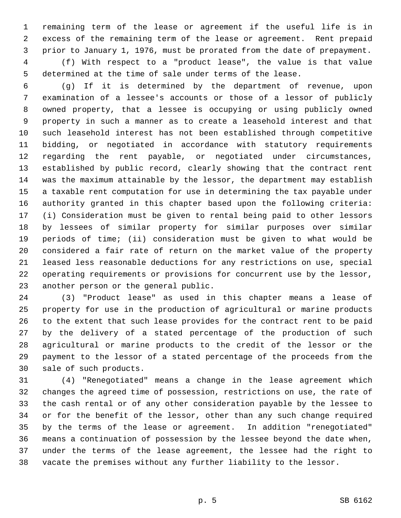1 remaining term of the lease or agreement if the useful life is in 2 excess of the remaining term of the lease or agreement. Rent prepaid 3 prior to January 1, 1976, must be prorated from the date of prepayment. 4 (f) With respect to a "product lease", the value is that value 5 determined at the time of sale under terms of the lease.

 6 (g) If it is determined by the department of revenue, upon 7 examination of a lessee's accounts or those of a lessor of publicly 8 owned property, that a lessee is occupying or using publicly owned 9 property in such a manner as to create a leasehold interest and that 10 such leasehold interest has not been established through competitive 11 bidding, or negotiated in accordance with statutory requirements 12 regarding the rent payable, or negotiated under circumstances, 13 established by public record, clearly showing that the contract rent 14 was the maximum attainable by the lessor, the department may establish 15 a taxable rent computation for use in determining the tax payable under 16 authority granted in this chapter based upon the following criteria: 17 (i) Consideration must be given to rental being paid to other lessors 18 by lessees of similar property for similar purposes over similar 19 periods of time; (ii) consideration must be given to what would be 20 considered a fair rate of return on the market value of the property 21 leased less reasonable deductions for any restrictions on use, special 22 operating requirements or provisions for concurrent use by the lessor, 23 another person or the general public.

24 (3) "Product lease" as used in this chapter means a lease of 25 property for use in the production of agricultural or marine products 26 to the extent that such lease provides for the contract rent to be paid 27 by the delivery of a stated percentage of the production of such 28 agricultural or marine products to the credit of the lessor or the 29 payment to the lessor of a stated percentage of the proceeds from the 30 sale of such products.

31 (4) "Renegotiated" means a change in the lease agreement which 32 changes the agreed time of possession, restrictions on use, the rate of 33 the cash rental or of any other consideration payable by the lessee to 34 or for the benefit of the lessor, other than any such change required 35 by the terms of the lease or agreement. In addition "renegotiated" 36 means a continuation of possession by the lessee beyond the date when, 37 under the terms of the lease agreement, the lessee had the right to 38 vacate the premises without any further liability to the lessor.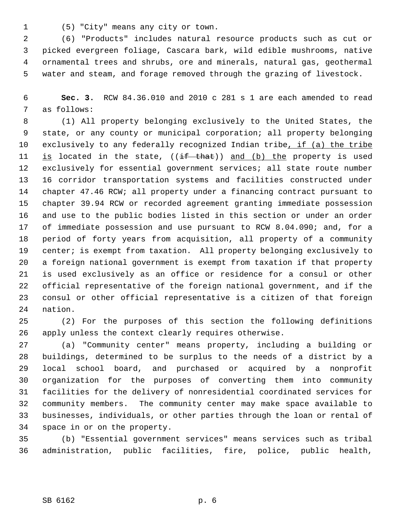1 (5) "City" means any city or town.

 2 (6) "Products" includes natural resource products such as cut or 3 picked evergreen foliage, Cascara bark, wild edible mushrooms, native 4 ornamental trees and shrubs, ore and minerals, natural gas, geothermal 5 water and steam, and forage removed through the grazing of livestock.

 6 **Sec. 3.** RCW 84.36.010 and 2010 c 281 s 1 are each amended to read 7 as follows:

 8 (1) All property belonging exclusively to the United States, the 9 state, or any county or municipal corporation; all property belonging 10 exclusively to any federally recognized Indian tribe, if (a) the tribe 11 is located in the state,  $((if that))$  and  $(b)$  the property is used 12 exclusively for essential government services; all state route number 13 16 corridor transportation systems and facilities constructed under 14 chapter 47.46 RCW; all property under a financing contract pursuant to 15 chapter 39.94 RCW or recorded agreement granting immediate possession 16 and use to the public bodies listed in this section or under an order 17 of immediate possession and use pursuant to RCW 8.04.090; and, for a 18 period of forty years from acquisition, all property of a community 19 center; is exempt from taxation. All property belonging exclusively to 20 a foreign national government is exempt from taxation if that property 21 is used exclusively as an office or residence for a consul or other 22 official representative of the foreign national government, and if the 23 consul or other official representative is a citizen of that foreign 24 nation.

25 (2) For the purposes of this section the following definitions 26 apply unless the context clearly requires otherwise.

27 (a) "Community center" means property, including a building or 28 buildings, determined to be surplus to the needs of a district by a 29 local school board, and purchased or acquired by a nonprofit 30 organization for the purposes of converting them into community 31 facilities for the delivery of nonresidential coordinated services for 32 community members. The community center may make space available to 33 businesses, individuals, or other parties through the loan or rental of 34 space in or on the property.

35 (b) "Essential government services" means services such as tribal 36 administration, public facilities, fire, police, public health,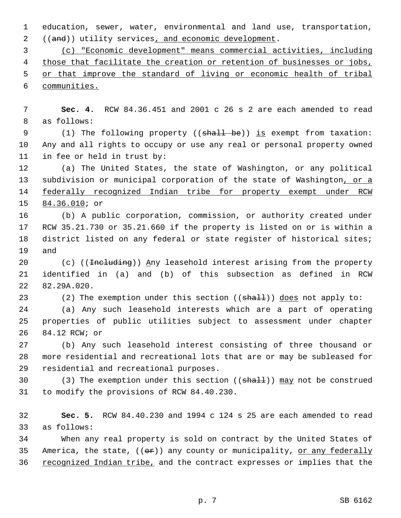1 education, sewer, water, environmental and land use, transportation, 2 ((and)) utility services, and economic development.

 (c) "Economic development" means commercial activities, including those that facilitate the creation or retention of businesses or jobs, or that improve the standard of living or economic health of tribal communities.

 7 **Sec. 4.** RCW 84.36.451 and 2001 c 26 s 2 are each amended to read 8 as follows:

9 (1) The following property ((shall be)) is exempt from taxation: 10 Any and all rights to occupy or use any real or personal property owned 11 in fee or held in trust by:

12 (a) The United States, the state of Washington, or any political 13 subdivision or municipal corporation of the state of Washington, or a 14 federally recognized Indian tribe for property exempt under RCW 15 84.36.010; or

16 (b) A public corporation, commission, or authority created under 17 RCW 35.21.730 or 35.21.660 if the property is listed on or is within a 18 district listed on any federal or state register of historical sites; 19 and

20 (c) ((<del>Including</del>)) Any leasehold interest arising from the property 21 identified in (a) and (b) of this subsection as defined in RCW 22 82.29A.020.

23 (2) The exemption under this section  $((shall))$  does not apply to:

24 (a) Any such leasehold interests which are a part of operating 25 properties of public utilities subject to assessment under chapter 26 84.12 RCW; or

27 (b) Any such leasehold interest consisting of three thousand or 28 more residential and recreational lots that are or may be subleased for 29 residential and recreational purposes.

30 (3) The exemption under this section ((shall)) may not be construed 31 to modify the provisions of RCW 84.40.230.

32 **Sec. 5.** RCW 84.40.230 and 1994 c 124 s 25 are each amended to read 33 as follows:

34 When any real property is sold on contract by the United States of 35 America, the state,  $((\Theta \hat{r}))$  any county or municipality, or any federally 36 recognized Indian tribe, and the contract expresses or implies that the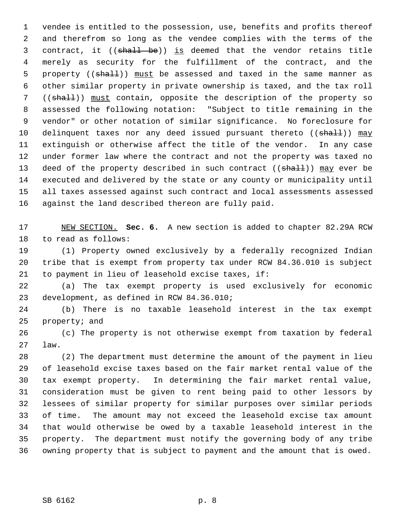1 vendee is entitled to the possession, use, benefits and profits thereof 2 and therefrom so long as the vendee complies with the terms of the 3 contract, it ((shall be)) is deemed that the vendor retains title 4 merely as security for the fulfillment of the contract, and the 5 property ((shall)) must be assessed and taxed in the same manner as 6 other similar property in private ownership is taxed, and the tax roll 7 ((shall)) must contain, opposite the description of the property so 8 assessed the following notation: "Subject to title remaining in the 9 vendor" or other notation of similar significance. No foreclosure for 10 delinquent taxes nor any deed issued pursuant thereto ((shall)) may 11 extinguish or otherwise affect the title of the vendor. In any case 12 under former law where the contract and not the property was taxed no 13 deed of the property described in such contract ((shall)) may ever be 14 executed and delivered by the state or any county or municipality until 15 all taxes assessed against such contract and local assessments assessed 16 against the land described thereon are fully paid.

17 NEW SECTION. **Sec. 6.** A new section is added to chapter 82.29A RCW 18 to read as follows:

19 (1) Property owned exclusively by a federally recognized Indian 20 tribe that is exempt from property tax under RCW 84.36.010 is subject 21 to payment in lieu of leasehold excise taxes, if:

22 (a) The tax exempt property is used exclusively for economic 23 development, as defined in RCW 84.36.010;

24 (b) There is no taxable leasehold interest in the tax exempt 25 property; and

26 (c) The property is not otherwise exempt from taxation by federal 27 law.

28 (2) The department must determine the amount of the payment in lieu 29 of leasehold excise taxes based on the fair market rental value of the 30 tax exempt property. In determining the fair market rental value, 31 consideration must be given to rent being paid to other lessors by 32 lessees of similar property for similar purposes over similar periods 33 of time. The amount may not exceed the leasehold excise tax amount 34 that would otherwise be owed by a taxable leasehold interest in the 35 property. The department must notify the governing body of any tribe 36 owning property that is subject to payment and the amount that is owed.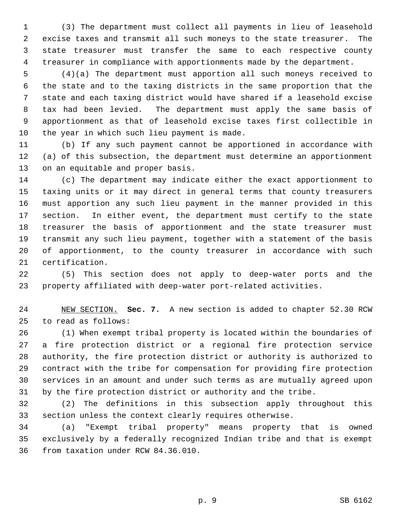1 (3) The department must collect all payments in lieu of leasehold 2 excise taxes and transmit all such moneys to the state treasurer. The 3 state treasurer must transfer the same to each respective county 4 treasurer in compliance with apportionments made by the department.

 5 (4)(a) The department must apportion all such moneys received to 6 the state and to the taxing districts in the same proportion that the 7 state and each taxing district would have shared if a leasehold excise 8 tax had been levied. The department must apply the same basis of 9 apportionment as that of leasehold excise taxes first collectible in 10 the year in which such lieu payment is made.

11 (b) If any such payment cannot be apportioned in accordance with 12 (a) of this subsection, the department must determine an apportionment 13 on an equitable and proper basis.

14 (c) The department may indicate either the exact apportionment to 15 taxing units or it may direct in general terms that county treasurers 16 must apportion any such lieu payment in the manner provided in this 17 section. In either event, the department must certify to the state 18 treasurer the basis of apportionment and the state treasurer must 19 transmit any such lieu payment, together with a statement of the basis 20 of apportionment, to the county treasurer in accordance with such 21 certification.

22 (5) This section does not apply to deep-water ports and the 23 property affiliated with deep-water port-related activities.

24 NEW SECTION. **Sec. 7.** A new section is added to chapter 52.30 RCW 25 to read as follows:

26 (1) When exempt tribal property is located within the boundaries of 27 a fire protection district or a regional fire protection service 28 authority, the fire protection district or authority is authorized to 29 contract with the tribe for compensation for providing fire protection 30 services in an amount and under such terms as are mutually agreed upon 31 by the fire protection district or authority and the tribe.

32 (2) The definitions in this subsection apply throughout this 33 section unless the context clearly requires otherwise.

34 (a) "Exempt tribal property" means property that is owned 35 exclusively by a federally recognized Indian tribe and that is exempt 36 from taxation under RCW 84.36.010.